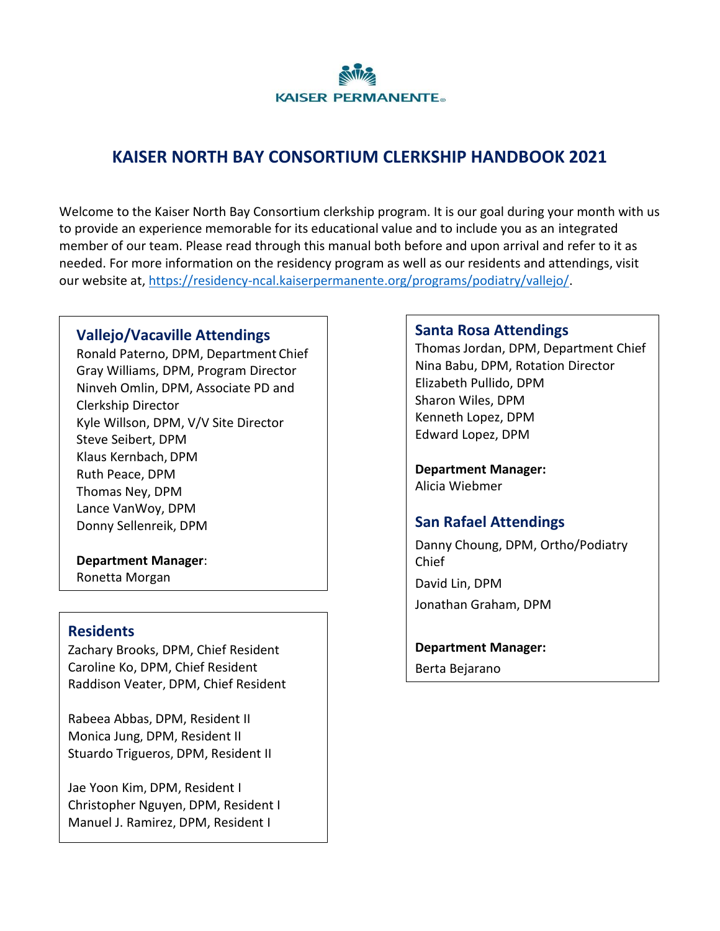

# **KAISER NORTH BAY CONSORTIUM CLERKSHIP HANDBOOK 2021**

Welcome to the Kaiser North Bay Consortium clerkship program. It is our goal during your month with us to provide an experience memorable for its educational value and to include you as an integrated member of our team. Please read through this manual both before and upon arrival and refer to it as needed. For more information on the residency program as well as our residents and attendings, visit our website at, [https://residency-ncal.kaiserpermanente.org/programs/podiatry/vallejo/.](https://residency-ncal.kaiserpermanente.org/programs/podiatry/vallejo/)

### **Vallejo/Vacaville Attendings**

Ronald Paterno, DPM, Department Chief Gray Williams, DPM, Program Director Ninveh Omlin, DPM, Associate PD and Clerkship Director Kyle Willson, DPM, V/V Site Director Steve Seibert, DPM Klaus Kernbach, DPM Ruth Peace, DPM Thomas Ney, DPM Lance VanWoy, DPM Donny Sellenreik, DPM

**Department Manager**: Ronetta Morgan

#### **Residents**

Zachary Brooks, DPM, Chief Resident Caroline Ko, DPM, Chief Resident Raddison Veater, DPM, Chief Resident

Rabeea Abbas, DPM, Resident II Monica Jung, DPM, Resident II Stuardo Trigueros, DPM, Resident II

Jae Yoon Kim, DPM, Resident I Christopher Nguyen, DPM, Resident I Manuel J. Ramirez, DPM, Resident I

#### **Santa Rosa Attendings**

Thomas Jordan, DPM, Department Chief Nina Babu, DPM, Rotation Director Elizabeth Pullido, DPM Sharon Wiles, DPM Kenneth Lopez, DPM Edward Lopez, DPM

**Department Manager:** Alicia Wiebmer

## **San Rafael Attendings**

Danny Choung, DPM, Ortho/Podiatry Chief David Lin, DPM Jonathan Graham, DPM

**Department Manager:** Berta Bejarano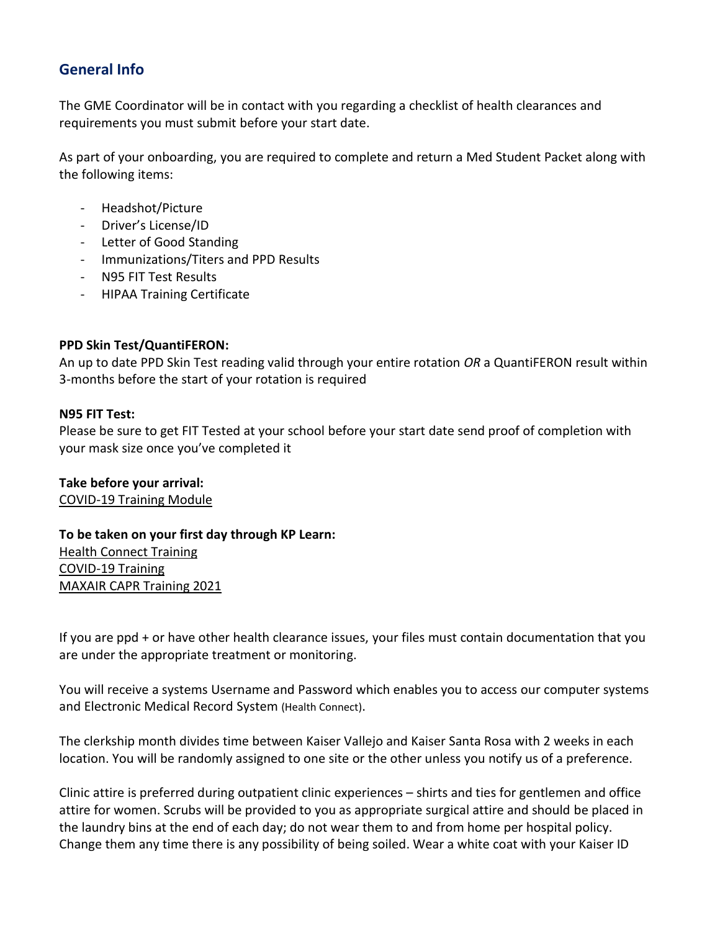## **General Info**

The GME Coordinator will be in contact with you regarding a checklist of health clearances and requirements you must submit before your start date.

As part of your onboarding, you are required to complete and return a Med Student Packet along with the following items:

- Headshot/Picture
- Driver's License/ID
- Letter of Good Standing
- Immunizations/Titers and PPD Results
- N95 FIT Test Results
- HIPAA Training Certificate

#### **PPD Skin Test/QuantiFERON:**

An up to date PPD Skin Test reading valid through your entire rotation *OR* a QuantiFERON result within 3-months before the start of your rotation is required

#### **N95 FIT Test:**

Please be sure to get FIT Tested at your school before your start date send proof of completion with your mask size once you've completed it

**Take before your arrival:** [COVID-19 Training Module](https://urldefense.com/v3/__https:/rise.articulate.com/share/y61ZtZ15HHVXo5ECGTViuF3XDBq7sZ0Q__;!!BZ50a36bapWJ!-Jym1inIxlHYdNCHHghjm-JrKpYrNVn4vAEIigPl1YZLK4ds6BZzrtRT9gF10WNU$)

**To be taken on your first day through KP Learn:** [Health Connect Training](http://cscdcwbtp001.crdc.kp.org/tpmg/wbt_med_student_epic_2018/) [COVID-19 Training](https://kplearn.kp.org/Saba/Web_spf/NA5P2PRD001/app/shared;spf-url=common%2Fledetail%2Fcours000000000098009%3Freturnurl%3Dcommon%2Fsearchresults%2Fcovid19%200000845206%2FLEARNINGEVENT,OFFERINGTEMPLATE,CERTIFICATION,CURRICULUM,OFFERING,PACKAGE,LXPCONTENT%3FembeddedInTorque%3Dtrue) [MAXAIR CAPR Training 2021](https://kplearn.kp.org/Saba/Web_spf/NA5P2PRD001/app/shared;spf-url=common%2Fledetail%2Fcours000000000102148%3Freturnurl%3Dcommon%2Fsearchresults%2FMAXAIR%20CAPR%20Training%2FLEARNINGEVENT,OFFERINGTEMPLATE,CERTIFICATION,CURRICULUM,OFFERING,PACKAGE,LXPCONTENT,LEARNINGPATHWAY%3FembeddedInTorque%3Dtrue)

If you are ppd + or have other health clearance issues, your files must contain documentation that you are under the appropriate treatment or monitoring.

You will receive a systems Username and Password which enables you to access our computer systems and Electronic Medical Record System (Health Connect).

The clerkship month divides time between Kaiser Vallejo and Kaiser Santa Rosa with 2 weeks in each location. You will be randomly assigned to one site or the other unless you notify us of a preference.

Clinic attire is preferred during outpatient clinic experiences – shirts and ties for gentlemen and office attire for women. Scrubs will be provided to you as appropriate surgical attire and should be placed in the laundry bins at the end of each day; do not wear them to and from home per hospital policy. Change them any time there is any possibility of being soiled. Wear a white coat with your Kaiser ID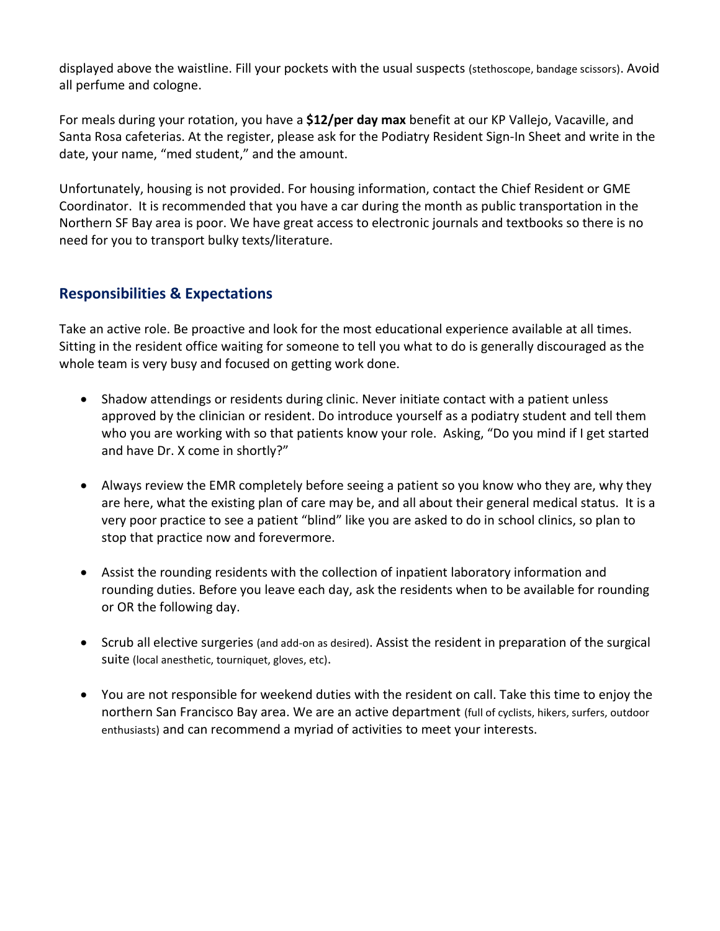displayed above the waistline. Fill your pockets with the usual suspects (stethoscope, bandage scissors). Avoid all perfume and cologne.

For meals during your rotation, you have a **\$12/per day max** benefit at our KP Vallejo, Vacaville, and Santa Rosa cafeterias. At the register, please ask for the Podiatry Resident Sign-In Sheet and write in the date, your name, "med student," and the amount.

Unfortunately, housing is not provided. For housing information, contact the Chief Resident or GME Coordinator. It is recommended that you have a car during the month as public transportation in the Northern SF Bay area is poor. We have great access to electronic journals and textbooks so there is no need for you to transport bulky texts/literature.

## **Responsibilities & Expectations**

Take an active role. Be proactive and look for the most educational experience available at all times. Sitting in the resident office waiting for someone to tell you what to do is generally discouraged as the whole team is very busy and focused on getting work done.

- Shadow attendings or residents during clinic. Never initiate contact with a patient unless approved by the clinician or resident. Do introduce yourself as a podiatry student and tell them who you are working with so that patients know your role. Asking, "Do you mind if I get started and have Dr. X come in shortly?"
- Always review the EMR completely before seeing a patient so you know who they are, why they are here, what the existing plan of care may be, and all about their general medical status. It is a very poor practice to see a patient "blind" like you are asked to do in school clinics, so plan to stop that practice now and forevermore.
- Assist the rounding residents with the collection of inpatient laboratory information and rounding duties. Before you leave each day, ask the residents when to be available for rounding or OR the following day.
- Scrub all elective surgeries (and add-on as desired). Assist the resident in preparation of the surgical suite (local anesthetic, tourniquet, gloves, etc).
- You are not responsible for weekend duties with the resident on call. Take this time to enjoy the northern San Francisco Bay area. We are an active department (full of cyclists, hikers, surfers, outdoor enthusiasts) and can recommend a myriad of activities to meet your interests.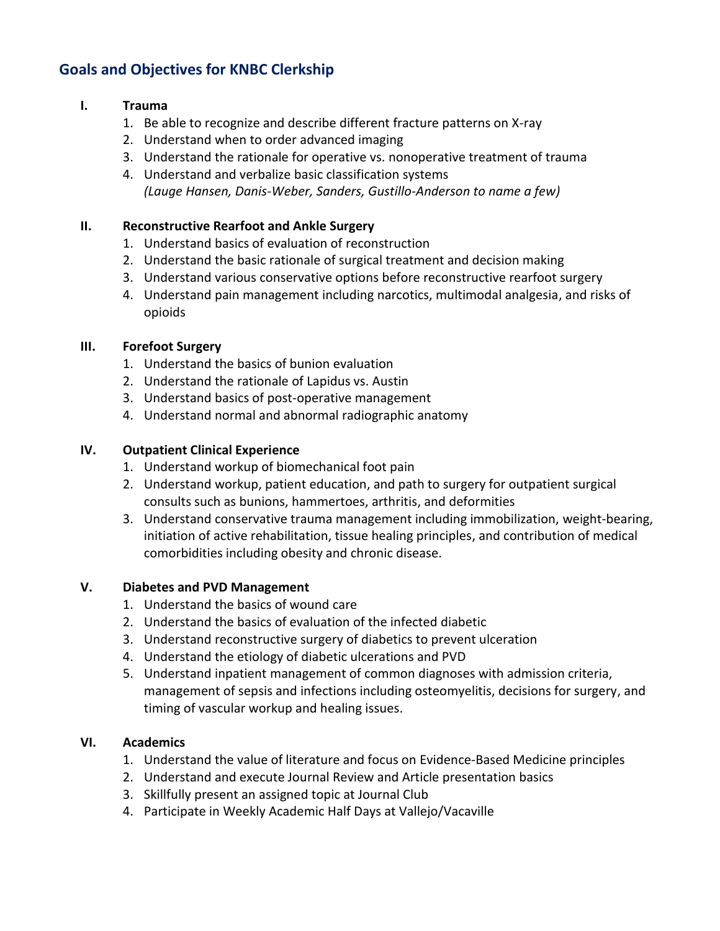## **Goals and Objectives for KNBC Clerkship**

### **I. Trauma**

- 1. Be able to recognize and describe different fracture patterns on X-ray
- 2. Understand when to order advanced imaging
- 3. Understand the rationale for operative vs. nonoperative treatment of trauma
- 4. Understand and verbalize basic classification systems *(Lauge Hansen, Danis-Weber, Sanders, Gustillo-Anderson to name a few)*

### **II. Reconstructive Rearfoot and Ankle Surgery**

- 1. Understand basics of evaluation of reconstruction
- 2. Understand the basic rationale of surgical treatment and decision making
- 3. Understand various conservative options before reconstructive rearfoot surgery
- 4. Understand pain management including narcotics, multimodal analgesia, and risks of opioids

### **III. Forefoot Surgery**

- 1. Understand the basics of bunion evaluation
- 2. Understand the rationale of Lapidus vs. Austin
- 3. Understand basics of post-operative management
- 4. Understand normal and abnormal radiographic anatomy

### **IV. Outpatient Clinical Experience**

- 1. Understand workup of biomechanical foot pain
- 2. Understand workup, patient education, and path to surgery for outpatient surgical consults such as bunions, hammertoes, arthritis, and deformities
- 3. Understand conservative trauma management including immobilization, weight-bearing, initiation of active rehabilitation, tissue healing principles, and contribution of medical comorbidities including obesity and chronic disease.

### **V. Diabetes and PVD Management**

- 1. Understand the basics of wound care
- 2. Understand the basics of evaluation of the infected diabetic
- 3. Understand reconstructive surgery of diabetics to prevent ulceration
- 4. Understand the etiology of diabetic ulcerations and PVD
- 5. Understand inpatient management of common diagnoses with admission criteria, management of sepsis and infections including osteomyelitis, decisions for surgery, and timing of vascular workup and healing issues.

### **VI. Academics**

- 1. Understand the value of literature and focus on Evidence-Based Medicine principles
- 2. Understand and execute Journal Review and Article presentation basics
- 3. Skillfully present an assigned topic at Journal Club
- 4. Participate in Weekly Academic Half Days at Vallejo/Vacaville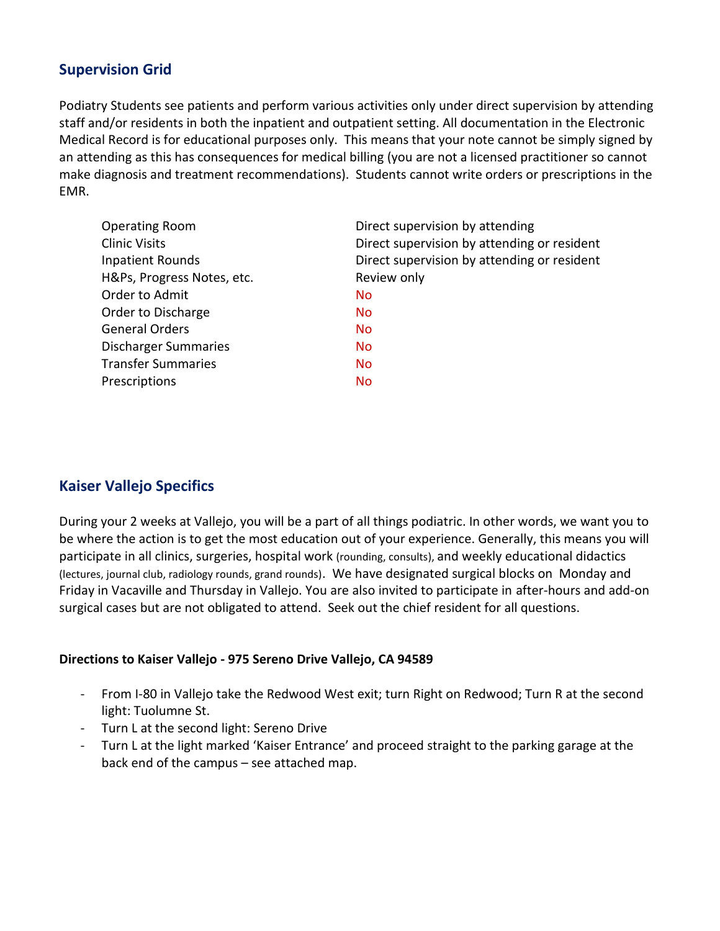### **Supervision Grid**

Podiatry Students see patients and perform various activities only under direct supervision by attending staff and/or residents in both the inpatient and outpatient setting. All documentation in the Electronic Medical Record is for educational purposes only. This means that your note cannot be simply signed by an attending as this has consequences for medical billing (you are not a licensed practitioner so cannot make diagnosis and treatment recommendations). Students cannot write orders or prescriptions in the EMR.

| Direct supervision by attending             |
|---------------------------------------------|
| Direct supervision by attending or resident |
| Direct supervision by attending or resident |
| Review only                                 |
| <b>No</b>                                   |
| <b>No</b>                                   |
| <b>No</b>                                   |
| <b>No</b>                                   |
| <b>No</b>                                   |
| No                                          |
|                                             |

### **Kaiser Vallejo Specifics**

During your 2 weeks at Vallejo, you will be a part of all things podiatric. In other words, we want you to be where the action is to get the most education out of your experience. Generally, this means you will participate in all clinics, surgeries, hospital work (rounding, consults), and weekly educational didactics (lectures, journal club, radiology rounds, grand rounds). We have designated surgical blocks on Monday and Friday in Vacaville and Thursday in Vallejo. You are also invited to participate in after-hours and add-on surgical cases but are not obligated to attend. Seek out the chief resident for all questions.

### **Directions to Kaiser Vallejo - 975 Sereno Drive Vallejo, CA 94589**

- From I-80 in Vallejo take the Redwood West exit; turn Right on Redwood; Turn R at the second light: Tuolumne St.
- Turn L at the second light: Sereno Drive
- Turn L at the light marked 'Kaiser Entrance' and proceed straight to the parking garage at the back end of the campus – see attached map.